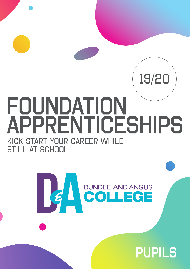# foundation **APPRENTICESHIPS** KIck start your career while STILL AT SCHOOL



# PUPILS

19/20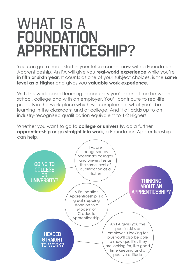# WHAT IS A **FOUNDATION** apprenticeship?

You can get a head start in your future career now with a Foundation Apprenticeship. An FA will give you **real-world experience** while you're **in fifth or sixth year.** It counts as one of your subject choices, is the **same level as a Higher** and gives you **valuable work experience.**

With this work-based learning opportunity you'll spend time between school, college and with an employer. You'll contribute to real-life projects in the work place which will complement what you'll be learning in the classroom and at college. And it all adds up to an industry-recognised qualification equivalent to 1-2 Highers.

Whether you want to go to **college or university**, do a further **apprenticeship** or go **straight into work**, a Foundation Apprenticeship can help.

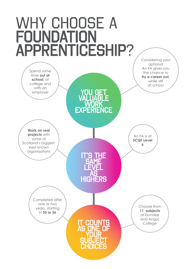# WHY CHOOSE A **FOUNDATION** apprenticeship?

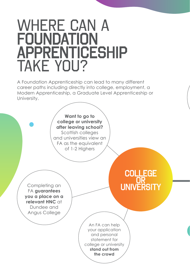# WHERE CAN A **FOUNDATION APPRENTICESHIP** TAKE YOU?

A Foundation Apprenticeship can lead to many different career paths including directly into college, employment, a Modern Apprenticeship, a Graduate Level Apprenticeship or University.

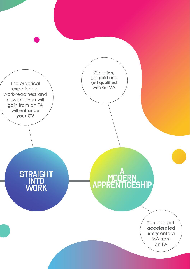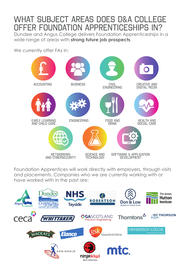### WHAT SUBJECT AREAS DOES D&A COLLEGE offer foundation apprenticeships in?

Dundee and Angus College delivers Foundation Apprenticeships in a wide range of areas with **strong future job prospects**.

We currently offer FAs in:



Foundation Apprentices will work directly with employers, through visits and placements. Companies who we are currently working with or have worked with in the past are:

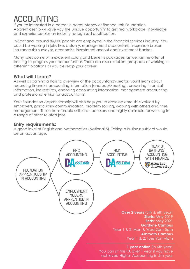## **ACCOUNTING**

If you're interested in a career in accountancy or finance, this Foundation Apprenticeship will give you the unique opportunity to get real workplace knowledge and experience plus an industry recognised qualification.

In Scotland, around 86,000 people are employed in the financial services industry. You could be working in jobs like: actuary, management accountant, insurance broker, insurance risk surveyor, economist, investment analyst and investment banker.

Many roles come with excellent salary and benefits packages, as well as the offer of training to progress your career further. There are also excellent prospects of working in different locations as you develop your career.

### **What will I learn?**

As well as gaining a holistic overview of the accountancy sector, you'll learn about recording financial accounting information (and bookkeeping), preparing financial information, indirect tax, analysing accounting information, management accounting and professional ethics for accountants.

Your Foundation Apprenticeship will also help you to develop core skills valued by employers, particularly communication, problem solving, working with others and time management. These transferable skills are necessary and highly desirable for working in a range of other related jobs.

### **Entry requirements:**

A good level of English and Mathematics (National 5). Taking a Business subject would be an advantage.

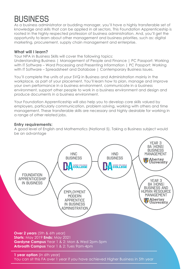### **BUSINESS**

As a business administrator or budding manager, you'll have a highly transferable set of knowledge and skills that can be applied in all sectors. This Foundation Apprenticeship is rooted in the highly respected profession of business administration. And, you'll get the opportunity to learn about other management and business priorities, such as: digital marketing, procurement, supply chain management and enterprise.

### **What will I learn?**

Your NPA in Business Skills will cover the following topics:

Understanding Business | Management of People and Finance | PC Passport: Working with IT Software – Word Processing and Presenting Information | PC Passport: Working with IT Software – Spreadsheet and Database | Contemporary Business Issues.

You'll complete the units of your SVQ in Business and Administration mainly in the workplace, as part of your placement. You'll learn how to plan, manage and improve your own performance in a business environment, communicate in a business environment, support other people to work in a business environment and design and produce documents in a business environment.

Your Foundation Apprenticeship will also help you to develop core skills valued by employers, particularly communication, problem solving, working with others and time management. These transferable skills are necessary and highly desirable for working in a range of other related jobs.

#### **Entry requirements:**

A good level of English and Mathematics (National 5). Taking a Business subject would be an advantage

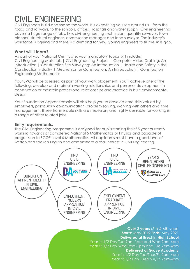# civil engineering

Civil Engineers build and shape the world. It's everything you see around us – from the roads and railways, to the schools, offices, hospitals and water supply. Civil engineering covers a huge range of jobs, like: civil engineering technician, quantity surveyor, town planner, structural engineer, construction manager and land surveyor. The industry's workforce is ageing and there is a demand for new, young engineers to fill the skills gap.

### **What will I learn?**

As part of your National Certificate, your mandatory topics will include: Civil Engineering Materials | Civil Engineering Project | Computer Aided Drafting: An Introduction | Construction Site Surveying: An Introduction | Health and Safety in the Construction Industry | Mechanics for Construction: An Introduction | Construction Engineering Mathematics

Your SVQ will be assessed as part of your work placement. You'll achieve one of the following: develop and maintain working relationships and personal development in construction or maintain professional relationships and practice in built environmental design.

Your Foundation Apprenticeship will also help you to develop core skills valued by employers, particularly communication, problem solving, working with others and time management. These transferable skills are necessary and highly desirable for working in a range of other related jobs.

### **Entry requirements:**

The Civil Engineering programme is designed for pupils starting their S5 year currently working towards or completed National 5 Mathematics or Physics and capable of progression to SCQF Level 6 Mathematics. All applicants must have a good level of written and spoken English and demonstrate a real interest in Civil Engineering.

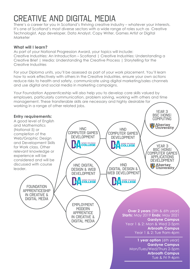## creative and digital media

There's a career for you in Scotland's thriving creative industry – whatever your interests. It's one of Scotland's most diverse sectors with a wide range of roles such as Creative Technologist, App developer, Data Analyst, Copy Writer, Games Artist or Digital Marketer

### **What will I learn?**

As part of your National Progression Award, your topics will include: Creative Industries: An Introduction – Scotland | Creative Industries: Understanding a Creative Brief | Media: Understanding the Creative Process | Storytelling for the Creative Industries

For your Diploma units, you'll be assessed as part of your work placement. You'll learn how to work effectively with others in the Creative Industries, ensure your own actions reduce risks to health and safety, communicate using digital marketing/sales channels and use digital and social media in marketing campaigns.

Your Foundation Apprenticeship will also help you to develop core skills valued by employers, particularly communication, problem solving, working with others and time management. These transferable skills are necessary and highly desirable for working in a range of other related jobs.

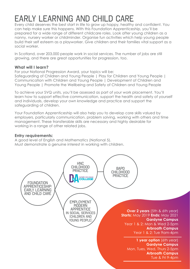# early learning and child care

Every child deserves the best start in life to grow up happy, healthy and confident. You can help make sure this happens. With this Foundation Apprenticeship, you'll be prepared for a wide range of different childcare roles. Look after young children as a nanny, nursery worker or childminder. Organise fun activities which help young people build their self esteem as a playworker. Give children and their families vital support as a social worker.

In Scotland, over 203,000 people work in social services. The number of jobs are still growing, and there are great opportunities for progression, too.

### **What will I learn?**

For your National Progression Award, your topics will be:

Safeguarding of Children and Young People | Play for Children and Young People | Communication with Children and Young People | Development of Children and Young People | Promote the Wellbeing and Safety of Children and Young People

To achieve your SVQ units, you'll be assessed as part of your work placement. You'll learn how to support effective communication, support the health and safety of yourself and individuals, develop your own knowledge and practice and support the safeguarding of children.

Your Foundation Apprenticeship will also help you to develop core skills valued by employers, particularly communication, problem solving, working with others and time management. These transferable skills are necessary and highly desirable for working in a range of other related jobs.

#### **Entry requirements:**

A good level of English and Mathematics (National 5). Must demonstrate a genuine interest in working with children.

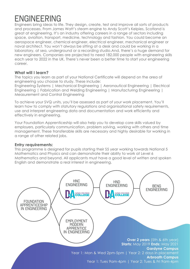### **ENGINEERING**

Engineers bring ideas to life. They design, create, test and improve all sorts of products and processes. From James Watt's steam engine to Andy Scott's Kelpies, Scotland is great at engineering. It's an industry offering careers in a range of sectors including space, aviation, transport, medicine, technology and fashion. You could become an aerospace engineer, chemical engineer, electrical engineer, mechanical engineer or naval architect. You won't always be sitting at a desk and could be working in a laboratory, at sea, underground or a recording studio.And, there's a huge demand for new engineers. Companies are projected to need 182,000 people with engineering skills each year to 2022 in the UK. There's never been a better time to start your engineering career.

### **What will I learn?**

The topics you learn as part of your National Certificate will depend on the area of engineering you choose to study. These include:

Engineering Systems | Mechanical Engineering | Aeronautical Engineering | Electrical Engineering | Fabrication and Welding Engineering | Manufacturing Engineering | Measurement and Control Engineering

To achieve your SVQ units, you'll be assessed as part of your work placement. You'll learn how to comply with statutory regulations and organisational safety requirements, use and interpret engineering data and documentation and work efficiently and effectively in engineering.

Your Foundation Apprenticeship will also help you to develop core skills valued by employers, particularly communication, problem solving, working with others and time management. These transferable skills are necessary and highly desirable for working in a range of other related jobs.

### **Entry requirements:**

This programme is designed for pupils starting their S5 year working towards National 5 Mathematics and Physics and can demonstrate their ability to work at Level 6 Mathematics and beyond. All applicants must have a good level of written and spoken English and demonstrate a real interest in engineering.

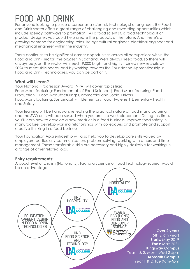## food and drink

For anyone looking to pursue a career as a scientist, technologist or engineer, the Food and Drink sector offers a great range of challenging and rewarding opportunities which include speedy pathways to promotion. As a food scientist, a food technologist or product designer, you could help create the products of the future. And, there's a growing demand for engineering roles like agricultural engineer, electrical engineer and mechanical engineer within the industry.

There continues to be significant career opportunities across all occupations within the Food and Drink sector, the biggest in Scotland. We'll always need food, so there will always be jobs! The sector will need 19,000 bright and highly trained new recruits by 2024 to meet skills needs, and by working towards the Foundation Apprenticeship in Food and Drink Technologies, you can be part of it.

### **What will I learn?**

Your National Progression Award (NPA) will cover topics like: Food Manufacturing: Fundamentals of Food Science | Food Manufacturing: Food Production | Food Manufacturing: Commercial and Social Drivers Food Manufacturing: Sustainability | Elementary Food Hygiene | Elementary Health and Safety.

Your learning will be hands-on, reflecting the practical nature of food manufacturing and the SVQ units will be assessed when you are in a work placement. During this time, you'll learn how to develop a new product in a food business, improve food safety in manufacture, develop working relationships with colleagues and promote and support creative thinking in a food business.

Your Foundation Apprenticeship will also help you to develop core skills valued by employers, particularly communication, problem solving, working with others and time management. These transferable skills are necessary and highly desirable for working in a range of other related jobs.

### **Entry requirements:**

A good level of English (National 5). Taking a Science or Food Technology subject would be an advantage

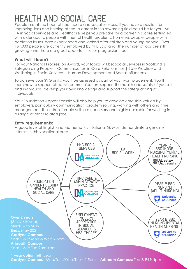# health and social care

People are at the heart of healthcare and social services. If you have a passion for improving lives and helping others, a career in this rewarding field could be for you. An FA in Social Services and Healthcare helps you prepare for a career in a care setting eg, with older adults, people with mental health problems, homeless people, people with addiction issues, care experienced and looked after children and young people. Over 161,000 people are currently employed by NHS Scotland. The number of jobs are still growing, and there are great opportunities for progression, too.

### **What will I learn?**

For your National Progression Award, your topics will be: Social Services in Scotland | Safeguarding People | Communication in Care Relationships | Safe Practice and Wellbeing in Social Services | Human Development and Social Influences.

To achieve your SVQ units, you'll be assessed as part of your work placement. You'll learn how to support effective communication, support the health and safety of yourself and individuals, develop your own knowledge and support the safeguarding of individuals.

Your Foundation Apprenticeship will also help you to develop core skills valued by employers, particularly communication, problem solving, working with others and time management. These transferable skills are necessary and highly desirable for working in a range of other related jobs.

### **Entry requirements:**

A good level of English and Mathematics (National 5). Must demonstrate a genuine interest in this vocational area.



**Gardyne Campus:** Mon/Tues/Wed/Thurs 2-5pm | **Arbroath Campus:** Tue & Fri 9-4pm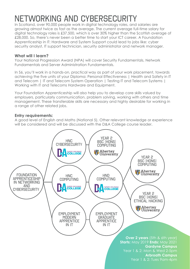# networking and cybersecurity

In Scotland, over 90,000 people work in digital technology roles, and salaries are growing almost twice as fast as the average. The current average full-time salary for digital technology roles is £37,500, which is over 30% higher than the Scottish average of £28,000. So, there's never been a better time to start your ICT career. A Foundation Apprenticeship in IT: Hardware and System Support could lead to jobs like: cyber security analyst, IT support technician, security administrator and network manager.

### **What will I learn?**

Your National Progression Award (NPA) will cover Security Fundamentals, Network Fundamentals and Server Administration Fundamentals.

In S6, you'll work in a hands-on, practical way as part of your work placement, towards achieving the five units of your Diploma: Personal Effectiveness | Health and Safety in IT and Telecom | IT and Telecom System Operation | Testing IT and Telecom Systems | Working with IT and Telecoms Hardware and Equipment.

Your Foundation Apprenticeship will also help you to develop core skills valued by employers, particularly communication, problem solving, working with others and time management. These transferable skills are necessary and highly desirable for working in a range of other related jobs.

### **Entry requirements:**

A good level of English and Maths (National 5). Other relevant knowledge or experience will be considered and will be discussed with the D&A College course leader.

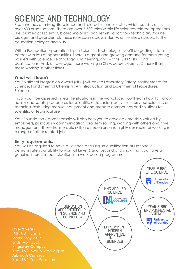# science and technology

Scotland has a thriving life science and related science sector, which consists of just over 630 organisations. There are over 7,500 roles within life sciences related operations, like: biomedical scientist, biotechnologist, biochemist, laboratory technician, marine biologist and geoscientist. These roles span across industry, universities, schools, further education colleges and NHS.

With a Foundation Apprenticeship in Scientific Technologies, you'll be getting into a career with lots of opportunities. There is a great and growing demand for more young workers with Science, Technology, Engineering, and Maths (STEM) skills and qualifications. And, on average, those working in STEM careers earn 20% more than those working in other fields.

### **What will I learn?**

Your National Progression Award (NPA) will cover: Laboratory Safety, Mathematics for Science, Fundamental Chemistry: An Introduction and Experimental Procedures: Science

In S6, you'll be assessed in real life situations in the workplace. You'll learn how to: Follow health and safety procedures for scientific or technical activities, carry out scientific or technical tests using manual equipment and prepare compounds and solutions for scientific or technical use

Your Foundation Apprenticeship will also help you to develop core skills valued by employers, particularly communication, problem solving, working with others and time management. These transferable skills are necessary and highly desirable for working in a range of other related jobs.

### **Entry requirements:**

You will be required to have a Science and English qualification at National 5, demonstrate your ability to work at Level 6 and beyond and show that you have a genuine interest in participation in a work-based programme.

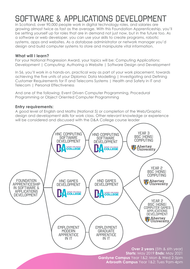## software & applications development

In Scotland, over 90,000 people work in digital technology roles, and salaries are growing almost twice as fast as the average. With this Foundation Apprenticeship, you'll be setting yourself up for roles that are in demand not just now, but in the future too. As a software or web developer, you can use your skills to create programs, robotic systems, apps and websites. As a database administrator or network manager you'd design and build computer systems to store and manipulate vital information.

### **What will I learn?**

For your National Progression Award, your topics will be: Computing Applications: Development | Computing: Authoring a Website | Software Design and Development

In S6, you'll work in a hands-on, practical way as part of your work placement, towards achieving the five units of your Diploma: Data Modelling | Investigating and Defining Customer Requirements for IT and Telecoms Systems | Health and Safety in IT and Telecom | Personal Effectiveness

And one of the following: Event Driven Computer Programming, Procedural Programming or Object Oriented Computer Programming

#### **Entry requirements:**

A good level of English and Maths (National 5) or completion of the Web/Graphic design and development skills for work class. Other relevant knowledge or experience will be considered and discussed with the D&A College course leader